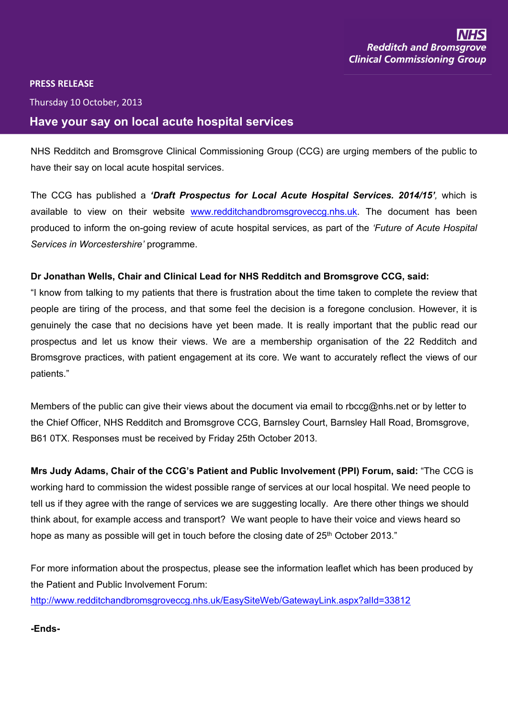## $\bar{1}$  $\mathbf{I}$









 $\frac{1}{6}$ 

| $\overline{2}$ |        |  |           |  |  |                             |  |  |  | $\mathbf{u}$ |  |  |  |  |
|----------------|--------|--|-----------|--|--|-----------------------------|--|--|--|--------------|--|--|--|--|
|                |        |  | 7 7 ' 2 8 |  |  |                             |  |  |  |              |  |  |  |  |
|                | 899""" |  |           |  |  | $\#9$ : (9 "; # 56 ' <44=/) |  |  |  |              |  |  |  |  |